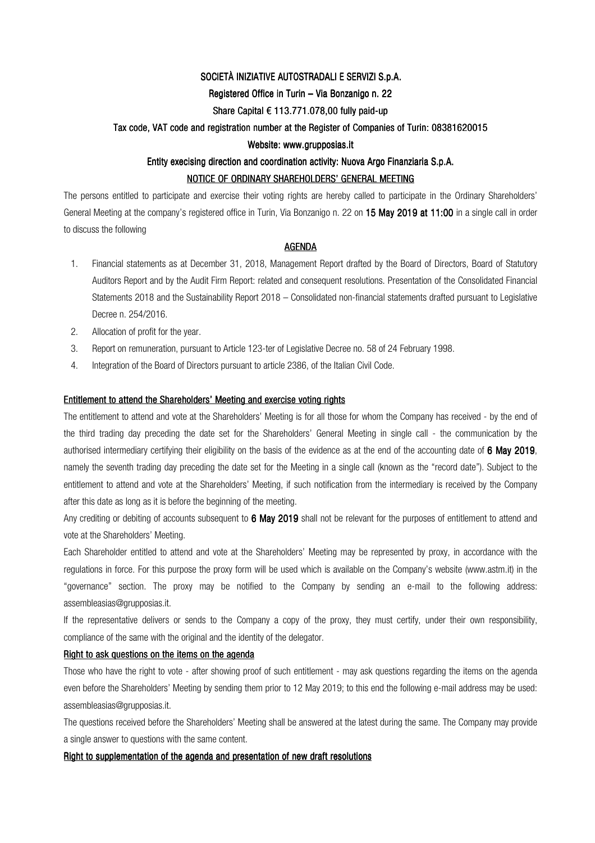## SOCIETÀ INIZIATIVE AUTOSTRADALI E SERVIZI S.p.A.

## Registered Office in Turin – Via Bonzanigo n. 22

## Share Capital  $\epsilon$  113.771.078,00 fully paid-up

### Tax code, VAT code and registration number at the Register of Companies of Turin: 08381620015

## Website: www.grupposias.it

# Entity execising direction and coordination activity: Nuova Argo Finanziaria S.p.A.

## NOTICE OF ORDINARY SHAREHOLDERS' GENERAL MEETING

The persons entitled to participate and exercise their voting rights are hereby called to participate in the Ordinary Shareholders' General Meeting at the company's registered office in Turin, Via Bonzanigo n. 22 on 15 May 2019 at 11:00 in a single call in order to discuss the following

## **AGENDA**

- 1. Financial statements as at December 31, 2018, Management Report drafted by the Board of Directors, Board of Statutory Auditors Report and by the Audit Firm Report: related and consequent resolutions. Presentation of the Consolidated Financial Statements 2018 and the Sustainability Report 2018 – Consolidated non-financial statements drafted pursuant to Legislative Decree n. 254/2016.
- 2. Allocation of profit for the year.
- 3. Report on remuneration, pursuant to Article 123-ter of Legislative Decree no. 58 of 24 February 1998.
- 4. Integration of the Board of Directors pursuant to article 2386, of the Italian Civil Code.

## Entitlement to attend the Shareholders' Meeting and exercise voting rights

The entitlement to attend and vote at the Shareholders' Meeting is for all those for whom the Company has received - by the end of the third trading day preceding the date set for the Shareholders' General Meeting in single call - the communication by the authorised intermediary certifying their eligibility on the basis of the evidence as at the end of the accounting date of 6 May 2019, namely the seventh trading day preceding the date set for the Meeting in a single call (known as the "record date"). Subject to the entitlement to attend and vote at the Shareholders' Meeting, if such notification from the intermediary is received by the Company after this date as long as it is before the beginning of the meeting.

Any crediting or debiting of accounts subsequent to 6 May 2019 shall not be relevant for the purposes of entitlement to attend and vote at the Shareholders' Meeting.

Each Shareholder entitled to attend and vote at the Shareholders' Meeting may be represented by proxy, in accordance with the regulations in force. For this purpose the proxy form will be used which is available on the Company's website (www.astm.it) in the "governance" section. The proxy may be notified to the Company by sending an e-mail to the following address: assembleasias@grupposias.it.

If the representative delivers or sends to the Company a copy of the proxy, they must certify, under their own responsibility, compliance of the same with the original and the identity of the delegator.

## Right to ask questions on the items on the agenda

Those who have the right to vote - after showing proof of such entitlement - may ask questions regarding the items on the agenda even before the Shareholders' Meeting by sending them prior to 12 May 2019; to this end the following e-mail address may be used: assembleasias@grupposias.it.

The questions received before the Shareholders' Meeting shall be answered at the latest during the same. The Company may provide a single answer to questions with the same content.

### Right to supplementation of the agenda and presentation of new draft resolutions